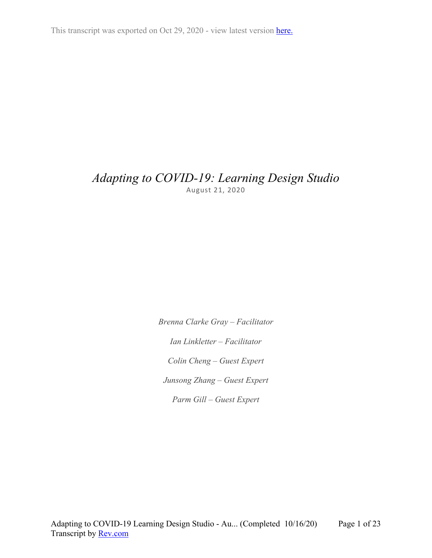This transcript was exported on Oct 29, 2020 - view latest version [here.](https://www.rev.com/transcript-editor/Edit?token=Rv0YcVIOHRIHt-bOvEdPgLPBCEJABmDevMgTA5NTokOOWALm-tuKI5bvX1YJPunOmj5xQ-vITcpxH5sfsZs0PEitkrM&loadFrom=DocumentHeaderDeepLink)

## *Adapting to COVID-19: Learning Design Studio* August 21, 2020

*Brenna Clarke Gray – Facilitator Ian Linkletter – Facilitator Colin Cheng – Guest Expert Junsong Zhang – Guest Expert Parm Gill – Guest Expert*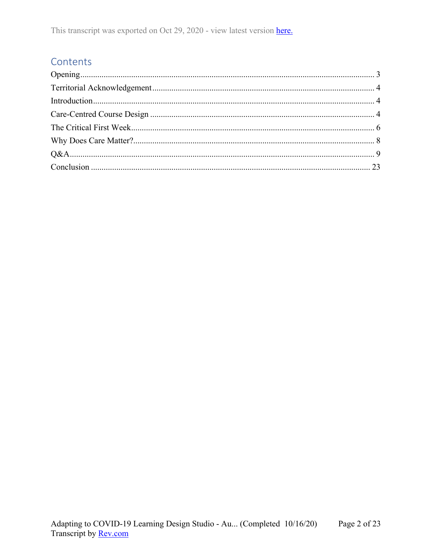## Contents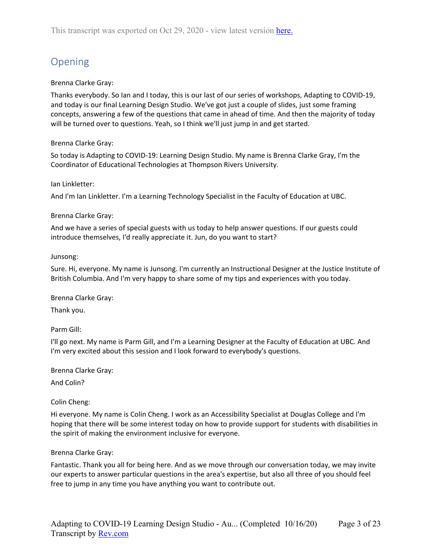# <span id="page-2-0"></span>Opening

## Brenna Clarke Gray:

Thanks everybody. So Ian and I today, this is our last of our series of workshops, Adapting to COVID-19, and today is our final Learning Design Studio. We've got just a couple of slides, just some framing concepts, answering a few of the questions that came in ahead of time. And then the majority of today will be turned over to questions. Yeah, so I think we'll just jump in and get started.

## Brenna Clarke Gray:

So today is Adapting to COVID-19: Learning Design Studio. My name is Brenna Clarke Gray, I'm the Coordinator of Educational Technologies at Thompson Rivers University.

## Ian Linkletter:

And I'm Ian Linkletter. I'm a Learning Technology Specialist in the Faculty of Education at UBC.

## Brenna Clarke Gray:

And we have a series of special guests with us today to help answer questions. If our guests could introduce themselves, I'd really appreciate it. Jun, do you want to start?

## Junsong:

Sure. Hi, everyone. My name is Junsong. I'm currently an Instructional Designer at the Justice Institute of British Columbia. And I'm very happy to share some of my tips and experiences with you today.

Brenna Clarke Gray:

Thank you.

Parm Gill:

I'll go next. My name is Parm Gill, and I'm a Learning Designer at the Faculty of Education at UBC. And I'm very excited about this session and I look forward to everybody's questions.

Brenna Clarke Gray:

And Colin?

## Colin Cheng:

Hi everyone. My name is Colin Cheng. I work as an Accessibility Specialist at Douglas College and I'm hoping that there will be some interest today on how to provide support for students with disabilities in the spirit of making the environment inclusive for everyone.

## Brenna Clarke Gray:

Fantastic. Thank you all for being here. And as we move through our conversation today, we may invite our experts to answer particular questions in the area's expertise, but also all three of you should feel free to jump in any time you have anything you want to contribute out.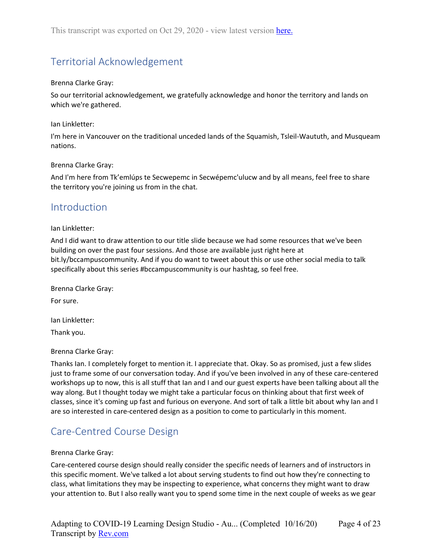# <span id="page-3-0"></span>Territorial Acknowledgement

### Brenna Clarke Gray:

So our territorial acknowledgement, we gratefully acknowledge and honor the territory and lands on which we're gathered.

### Ian Linkletter:

I'm here in Vancouver on the traditional unceded lands of the Squamish, Tsleil-Waututh, and Musqueam nations.

### Brenna Clarke Gray:

And I'm here from Tk'emlúps te Secwepemc in Secwépemc'ulucw and by all means, feel free to share the territory you're joining us from in the chat.

## <span id="page-3-1"></span>Introduction

### Ian Linkletter:

And I did want to draw attention to our title slide because we had some resources that we've been building on over the past four sessions. And those are available just right here at bit.ly/bccampuscommunity. And if you do want to tweet about this or use other social media to talk specifically about this series #bccampuscommunity is our hashtag, so feel free.

Brenna Clarke Gray: For sure.

Ian Linkletter:

Thank you.

## Brenna Clarke Gray:

Thanks Ian. I completely forget to mention it. I appreciate that. Okay. So as promised, just a few slides just to frame some of our conversation today. And if you've been involved in any of these care-centered workshops up to now, this is all stuff that Ian and I and our guest experts have been talking about all the way along. But I thought today we might take a particular focus on thinking about that first week of classes, since it's coming up fast and furious on everyone. And sort of talk a little bit about why Ian and I are so interested in care-centered design as a position to come to particularly in this moment.

## <span id="page-3-2"></span>Care-Centred Course Design

#### Brenna Clarke Gray:

Care-centered course design should really consider the specific needs of learners and of instructors in this specific moment. We've talked a lot about serving students to find out how they're connecting to class, what limitations they may be inspecting to experience, what concerns they might want to draw your attention to. But I also really want you to spend some time in the next couple of weeks as we gear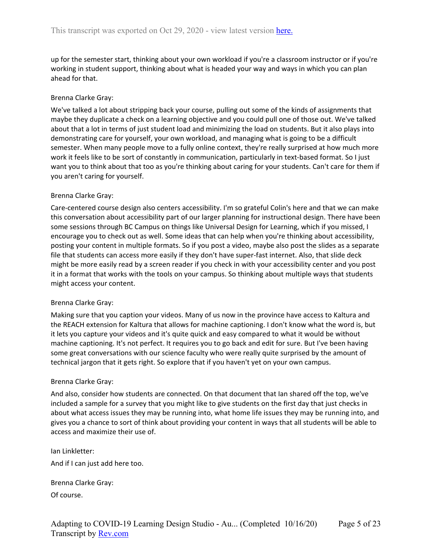up for the semester start, thinking about your own workload if you're a classroom instructor or if you're working in student support, thinking about what is headed your way and ways in which you can plan ahead for that.

## Brenna Clarke Gray:

We've talked a lot about stripping back your course, pulling out some of the kinds of assignments that maybe they duplicate a check on a learning objective and you could pull one of those out. We've talked about that a lot in terms of just student load and minimizing the load on students. But it also plays into demonstrating care for yourself, your own workload, and managing what is going to be a difficult semester. When many people move to a fully online context, they're really surprised at how much more work it feels like to be sort of constantly in communication, particularly in text-based format. So I just want you to think about that too as you're thinking about caring for your students. Can't care for them if you aren't caring for yourself.

## Brenna Clarke Gray:

Care-centered course design also centers accessibility. I'm so grateful Colin's here and that we can make this conversation about accessibility part of our larger planning for instructional design. There have been some sessions through BC Campus on things like Universal Design for Learning, which if you missed, I encourage you to check out as well. Some ideas that can help when you're thinking about accessibility, posting your content in multiple formats. So if you post a video, maybe also post the slides as a separate file that students can access more easily if they don't have super-fast internet. Also, that slide deck might be more easily read by a screen reader if you check in with your accessibility center and you post it in a format that works with the tools on your campus. So thinking about multiple ways that students might access your content.

## Brenna Clarke Gray:

Making sure that you caption your videos. Many of us now in the province have access to Kaltura and the REACH extension for Kaltura that allows for machine captioning. I don't know what the word is, but it lets you capture your videos and it's quite quick and easy compared to what it would be without machine captioning. It's not perfect. It requires you to go back and edit for sure. But I've been having some great conversations with our science faculty who were really quite surprised by the amount of technical jargon that it gets right. So explore that if you haven't yet on your own campus.

## Brenna Clarke Gray:

And also, consider how students are connected. On that document that Ian shared off the top, we've included a sample for a survey that you might like to give students on the first day that just checks in about what access issues they may be running into, what home life issues they may be running into, and gives you a chance to sort of think about providing your content in ways that all students will be able to access and maximize their use of.

Ian Linkletter: And if I can just add here too.

Brenna Clarke Gray: Of course.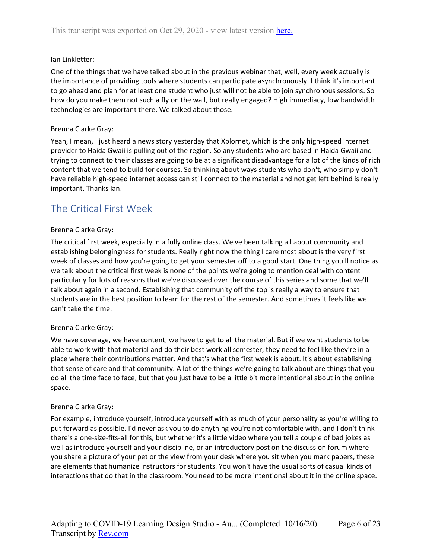## Ian Linkletter:

One of the things that we have talked about in the previous webinar that, well, every week actually is the importance of providing tools where students can participate asynchronously. I think it's important to go ahead and plan for at least one student who just will not be able to join synchronous sessions. So how do you make them not such a fly on the wall, but really engaged? High immediacy, low bandwidth technologies are important there. We talked about those.

## Brenna Clarke Gray:

Yeah, I mean, I just heard a news story yesterday that Xplornet, which is the only high-speed internet provider to Haida Gwaii is pulling out of the region. So any students who are based in Haida Gwaii and trying to connect to their classes are going to be at a significant disadvantage for a lot of the kinds of rich content that we tend to build for courses. So thinking about ways students who don't, who simply don't have reliable high-speed internet access can still connect to the material and not get left behind is really important. Thanks Ian.

## <span id="page-5-0"></span>The Critical First Week

## Brenna Clarke Gray:

The critical first week, especially in a fully online class. We've been talking all about community and establishing belongingness for students. Really right now the thing I care most about is the very first week of classes and how you're going to get your semester off to a good start. One thing you'll notice as we talk about the critical first week is none of the points we're going to mention deal with content particularly for lots of reasons that we've discussed over the course of this series and some that we'll talk about again in a second. Establishing that community off the top is really a way to ensure that students are in the best position to learn for the rest of the semester. And sometimes it feels like we can't take the time.

## Brenna Clarke Gray:

We have coverage, we have content, we have to get to all the material. But if we want students to be able to work with that material and do their best work all semester, they need to feel like they're in a place where their contributions matter. And that's what the first week is about. It's about establishing that sense of care and that community. A lot of the things we're going to talk about are things that you do all the time face to face, but that you just have to be a little bit more intentional about in the online space.

## Brenna Clarke Gray:

For example, introduce yourself, introduce yourself with as much of your personality as you're willing to put forward as possible. I'd never ask you to do anything you're not comfortable with, and I don't think there's a one-size-fits-all for this, but whether it's a little video where you tell a couple of bad jokes as well as introduce yourself and your discipline, or an introductory post on the discussion forum where you share a picture of your pet or the view from your desk where you sit when you mark papers, these are elements that humanize instructors for students. You won't have the usual sorts of casual kinds of interactions that do that in the classroom. You need to be more intentional about it in the online space.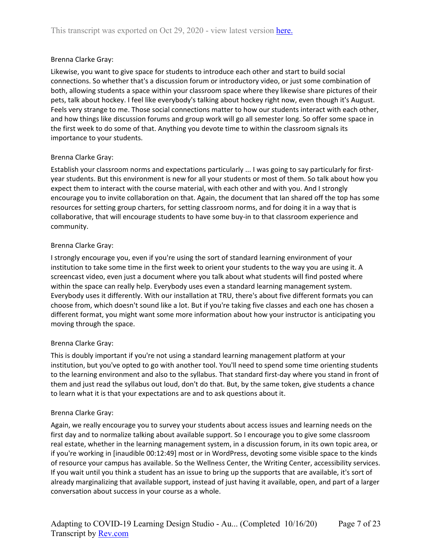## Brenna Clarke Gray:

Likewise, you want to give space for students to introduce each other and start to build social connections. So whether that's a discussion forum or introductory video, or just some combination of both, allowing students a space within your classroom space where they likewise share pictures of their pets, talk about hockey. I feel like everybody's talking about hockey right now, even though it's August. Feels very strange to me. Those social connections matter to how our students interact with each other, and how things like discussion forums and group work will go all semester long. So offer some space in the first week to do some of that. Anything you devote time to within the classroom signals its importance to your students.

## Brenna Clarke Gray:

Establish your classroom norms and expectations particularly ... I was going to say particularly for firstyear students. But this environment is new for all your students or most of them. So talk about how you expect them to interact with the course material, with each other and with you. And I strongly encourage you to invite collaboration on that. Again, the document that Ian shared off the top has some resources for setting group charters, for setting classroom norms, and for doing it in a way that is collaborative, that will encourage students to have some buy-in to that classroom experience and community.

## Brenna Clarke Gray:

I strongly encourage you, even if you're using the sort of standard learning environment of your institution to take some time in the first week to orient your students to the way you are using it. A screencast video, even just a document where you talk about what students will find posted where within the space can really help. Everybody uses even a standard learning management system. Everybody uses it differently. With our installation at TRU, there's about five different formats you can choose from, which doesn't sound like a lot. But if you're taking five classes and each one has chosen a different format, you might want some more information about how your instructor is anticipating you moving through the space.

## Brenna Clarke Gray:

This is doubly important if you're not using a standard learning management platform at your institution, but you've opted to go with another tool. You'll need to spend some time orienting students to the learning environment and also to the syllabus. That standard first-day where you stand in front of them and just read the syllabus out loud, don't do that. But, by the same token, give students a chance to learn what it is that your expectations are and to ask questions about it.

## Brenna Clarke Gray:

Again, we really encourage you to survey your students about access issues and learning needs on the first day and to normalize talking about available support. So I encourage you to give some classroom real estate, whether in the learning management system, in a discussion forum, in its own topic area, or if you're working in [inaudible 00:12:49] most or in WordPress, devoting some visible space to the kinds of resource your campus has available. So the Wellness Center, the Writing Center, accessibility services. If you wait until you think a student has an issue to bring up the supports that are available, it's sort of already marginalizing that available support, instead of just having it available, open, and part of a larger conversation about success in your course as a whole.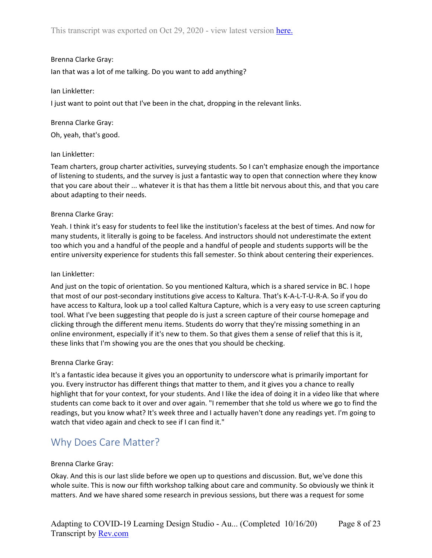## Brenna Clarke Gray:

Ian that was a lot of me talking. Do you want to add anything?

## Ian Linkletter:

I just want to point out that I've been in the chat, dropping in the relevant links.

Brenna Clarke Gray: Oh, yeah, that's good.

## Ian Linkletter:

Team charters, group charter activities, surveying students. So I can't emphasize enough the importance of listening to students, and the survey is just a fantastic way to open that connection where they know that you care about their ... whatever it is that has them a little bit nervous about this, and that you care about adapting to their needs.

## Brenna Clarke Gray:

Yeah. I think it's easy for students to feel like the institution's faceless at the best of times. And now for many students, it literally is going to be faceless. And instructors should not underestimate the extent too which you and a handful of the people and a handful of people and students supports will be the entire university experience for students this fall semester. So think about centering their experiences.

### Ian Linkletter:

And just on the topic of orientation. So you mentioned Kaltura, which is a shared service in BC. I hope that most of our post-secondary institutions give access to Kaltura. That's K-A-L-T-U-R-A. So if you do have access to Kaltura, look up a tool called Kaltura Capture, which is a very easy to use screen capturing tool. What I've been suggesting that people do is just a screen capture of their course homepage and clicking through the different menu items. Students do worry that they're missing something in an online environment, especially if it's new to them. So that gives them a sense of relief that this is it, these links that I'm showing you are the ones that you should be checking.

## Brenna Clarke Gray:

It's a fantastic idea because it gives you an opportunity to underscore what is primarily important for you. Every instructor has different things that matter to them, and it gives you a chance to really highlight that for your context, for your students. And I like the idea of doing it in a video like that where students can come back to it over and over again. "I remember that she told us where we go to find the readings, but you know what? It's week three and I actually haven't done any readings yet. I'm going to watch that video again and check to see if I can find it."

## <span id="page-7-0"></span>Why Does Care Matter?

## Brenna Clarke Gray:

Okay. And this is our last slide before we open up to questions and discussion. But, we've done this whole suite. This is now our fifth workshop talking about care and community. So obviously we think it matters. And we have shared some research in previous sessions, but there was a request for some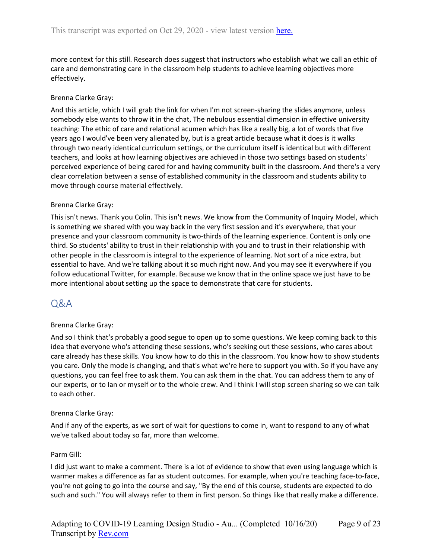more context for this still. Research does suggest that instructors who establish what we call an ethic of care and demonstrating care in the classroom help students to achieve learning objectives more effectively.

## Brenna Clarke Gray:

And this article, which I will grab the link for when I'm not screen-sharing the slides anymore, unless somebody else wants to throw it in the chat, The nebulous essential dimension in effective university teaching: The ethic of care and relational acumen which has like a really big, a lot of words that five years ago I would've been very alienated by, but is a great article because what it does is it walks through two nearly identical curriculum settings, or the curriculum itself is identical but with different teachers, and looks at how learning objectives are achieved in those two settings based on students' perceived experience of being cared for and having community built in the classroom. And there's a very clear correlation between a sense of established community in the classroom and students ability to move through course material effectively.

## Brenna Clarke Gray:

This isn't news. Thank you Colin. This isn't news. We know from the Community of Inquiry Model, which is something we shared with you way back in the very first session and it's everywhere, that your presence and your classroom community is two-thirds of the learning experience. Content is only one third. So students' ability to trust in their relationship with you and to trust in their relationship with other people in the classroom is integral to the experience of learning. Not sort of a nice extra, but essential to have. And we're talking about it so much right now. And you may see it everywhere if you follow educational Twitter, for example. Because we know that in the online space we just have to be more intentional about setting up the space to demonstrate that care for students.

## <span id="page-8-0"></span>Q&A

## Brenna Clarke Gray:

And so I think that's probably a good segue to open up to some questions. We keep coming back to this idea that everyone who's attending these sessions, who's seeking out these sessions, who cares about care already has these skills. You know how to do this in the classroom. You know how to show students you care. Only the mode is changing, and that's what we're here to support you with. So if you have any questions, you can feel free to ask them. You can ask them in the chat. You can address them to any of our experts, or to Ian or myself or to the whole crew. And I think I will stop screen sharing so we can talk to each other.

## Brenna Clarke Gray:

And if any of the experts, as we sort of wait for questions to come in, want to respond to any of what we've talked about today so far, more than welcome.

## Parm Gill:

I did just want to make a comment. There is a lot of evidence to show that even using language which is warmer makes a difference as far as student outcomes. For example, when you're teaching face-to-face, you're not going to go into the course and say, "By the end of this course, students are expected to do such and such." You will always refer to them in first person. So things like that really make a difference.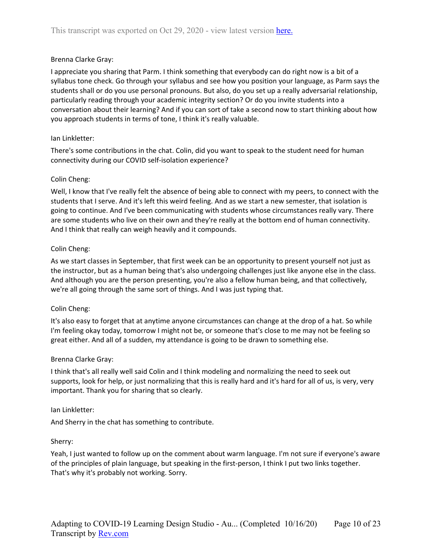## Brenna Clarke Gray:

I appreciate you sharing that Parm. I think something that everybody can do right now is a bit of a syllabus tone check. Go through your syllabus and see how you position your language, as Parm says the students shall or do you use personal pronouns. But also, do you set up a really adversarial relationship, particularly reading through your academic integrity section? Or do you invite students into a conversation about their learning? And if you can sort of take a second now to start thinking about how you approach students in terms of tone, I think it's really valuable.

## Ian Linkletter:

There's some contributions in the chat. Colin, did you want to speak to the student need for human connectivity during our COVID self-isolation experience?

## Colin Cheng:

Well, I know that I've really felt the absence of being able to connect with my peers, to connect with the students that I serve. And it's left this weird feeling. And as we start a new semester, that isolation is going to continue. And I've been communicating with students whose circumstances really vary. There are some students who live on their own and they're really at the bottom end of human connectivity. And I think that really can weigh heavily and it compounds.

## Colin Cheng:

As we start classes in September, that first week can be an opportunity to present yourself not just as the instructor, but as a human being that's also undergoing challenges just like anyone else in the class. And although you are the person presenting, you're also a fellow human being, and that collectively, we're all going through the same sort of things. And I was just typing that.

## Colin Cheng:

It's also easy to forget that at anytime anyone circumstances can change at the drop of a hat. So while I'm feeling okay today, tomorrow I might not be, or someone that's close to me may not be feeling so great either. And all of a sudden, my attendance is going to be drawn to something else.

## Brenna Clarke Gray:

I think that's all really well said Colin and I think modeling and normalizing the need to seek out supports, look for help, or just normalizing that this is really hard and it's hard for all of us, is very, very important. Thank you for sharing that so clearly.

## Ian Linkletter:

And Sherry in the chat has something to contribute.

## Sherry:

Yeah, I just wanted to follow up on the comment about warm language. I'm not sure if everyone's aware of the principles of plain language, but speaking in the first-person, I think I put two links together. That's why it's probably not working. Sorry.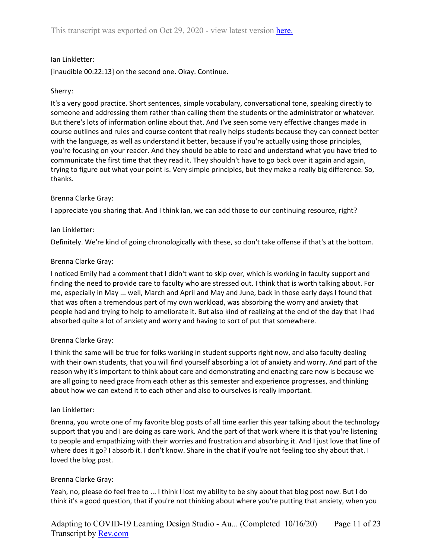## Ian Linkletter:

[inaudible 00:22:13] on the second one. Okay. Continue.

## Sherry:

It's a very good practice. Short sentences, simple vocabulary, conversational tone, speaking directly to someone and addressing them rather than calling them the students or the administrator or whatever. But there's lots of information online about that. And I've seen some very effective changes made in course outlines and rules and course content that really helps students because they can connect better with the language, as well as understand it better, because if you're actually using those principles, you're focusing on your reader. And they should be able to read and understand what you have tried to communicate the first time that they read it. They shouldn't have to go back over it again and again, trying to figure out what your point is. Very simple principles, but they make a really big difference. So, thanks.

## Brenna Clarke Gray:

I appreciate you sharing that. And I think Ian, we can add those to our continuing resource, right?

## Ian Linkletter:

Definitely. We're kind of going chronologically with these, so don't take offense if that's at the bottom.

## Brenna Clarke Gray:

I noticed Emily had a comment that I didn't want to skip over, which is working in faculty support and finding the need to provide care to faculty who are stressed out. I think that is worth talking about. For me, especially in May ... well, March and April and May and June, back in those early days I found that that was often a tremendous part of my own workload, was absorbing the worry and anxiety that people had and trying to help to ameliorate it. But also kind of realizing at the end of the day that I had absorbed quite a lot of anxiety and worry and having to sort of put that somewhere.

## Brenna Clarke Gray:

I think the same will be true for folks working in student supports right now, and also faculty dealing with their own students, that you will find yourself absorbing a lot of anxiety and worry. And part of the reason why it's important to think about care and demonstrating and enacting care now is because we are all going to need grace from each other as this semester and experience progresses, and thinking about how we can extend it to each other and also to ourselves is really important.

## Ian Linkletter:

Brenna, you wrote one of my favorite blog posts of all time earlier this year talking about the technology support that you and I are doing as care work. And the part of that work where it is that you're listening to people and empathizing with their worries and frustration and absorbing it. And I just love that line of where does it go? I absorb it. I don't know. Share in the chat if you're not feeling too shy about that. I loved the blog post.

## Brenna Clarke Gray:

Yeah, no, please do feel free to ... I think I lost my ability to be shy about that blog post now. But I do think it's a good question, that if you're not thinking about where you're putting that anxiety, when you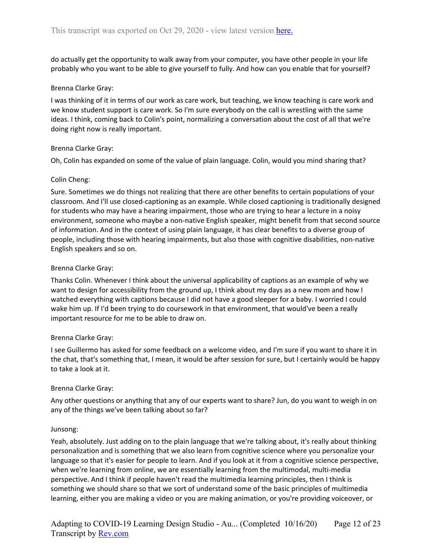do actually get the opportunity to walk away from your computer, you have other people in your life probably who you want to be able to give yourself to fully. And how can you enable that for yourself?

## Brenna Clarke Gray:

I was thinking of it in terms of our work as care work, but teaching, we know teaching is care work and we know student support is care work. So I'm sure everybody on the call is wrestling with the same ideas. I think, coming back to Colin's point, normalizing a conversation about the cost of all that we're doing right now is really important.

## Brenna Clarke Gray:

Oh, Colin has expanded on some of the value of plain language. Colin, would you mind sharing that?

## Colin Cheng:

Sure. Sometimes we do things not realizing that there are other benefits to certain populations of your classroom. And I'll use closed-captioning as an example. While closed captioning is traditionally designed for students who may have a hearing impairment, those who are trying to hear a lecture in a noisy environment, someone who maybe a non-native English speaker, might benefit from that second source of information. And in the context of using plain language, it has clear benefits to a diverse group of people, including those with hearing impairments, but also those with cognitive disabilities, non-native English speakers and so on.

## Brenna Clarke Gray:

Thanks Colin. Whenever I think about the universal applicability of captions as an example of why we want to design for accessibility from the ground up, I think about my days as a new mom and how I watched everything with captions because I did not have a good sleeper for a baby. I worried I could wake him up. If I'd been trying to do coursework in that environment, that would've been a really important resource for me to be able to draw on.

## Brenna Clarke Gray:

I see Guillermo has asked for some feedback on a welcome video, and I'm sure if you want to share it in the chat, that's something that, I mean, it would be after session for sure, but I certainly would be happy to take a look at it.

## Brenna Clarke Gray:

Any other questions or anything that any of our experts want to share? Jun, do you want to weigh in on any of the things we've been talking about so far?

## Junsong:

Yeah, absolutely. Just adding on to the plain language that we're talking about, it's really about thinking personalization and is something that we also learn from cognitive science where you personalize your language so that it's easier for people to learn. And if you look at it from a cognitive science perspective, when we're learning from online, we are essentially learning from the multimodal, multi-media perspective. And I think if people haven't read the multimedia learning principles, then I think is something we should share so that we sort of understand some of the basic principles of multimedia learning, either you are making a video or you are making animation, or you're providing voiceover, or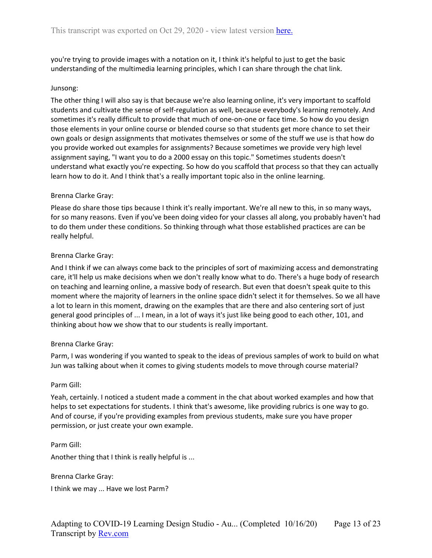you're trying to provide images with a notation on it, I think it's helpful to just to get the basic understanding of the multimedia learning principles, which I can share through the chat link.

### Junsong:

The other thing I will also say is that because we're also learning online, it's very important to scaffold students and cultivate the sense of self-regulation as well, because everybody's learning remotely. And sometimes it's really difficult to provide that much of one-on-one or face time. So how do you design those elements in your online course or blended course so that students get more chance to set their own goals or design assignments that motivates themselves or some of the stuff we use is that how do you provide worked out examples for assignments? Because sometimes we provide very high level assignment saying, "I want you to do a 2000 essay on this topic." Sometimes students doesn't understand what exactly you're expecting. So how do you scaffold that process so that they can actually learn how to do it. And I think that's a really important topic also in the online learning.

## Brenna Clarke Gray:

Please do share those tips because I think it's really important. We're all new to this, in so many ways, for so many reasons. Even if you've been doing video for your classes all along, you probably haven't had to do them under these conditions. So thinking through what those established practices are can be really helpful.

### Brenna Clarke Gray:

And I think if we can always come back to the principles of sort of maximizing access and demonstrating care, it'll help us make decisions when we don't really know what to do. There's a huge body of research on teaching and learning online, a massive body of research. But even that doesn't speak quite to this moment where the majority of learners in the online space didn't select it for themselves. So we all have a lot to learn in this moment, drawing on the examples that are there and also centering sort of just general good principles of ... I mean, in a lot of ways it's just like being good to each other, 101, and thinking about how we show that to our students is really important.

#### Brenna Clarke Gray:

Parm, I was wondering if you wanted to speak to the ideas of previous samples of work to build on what Jun was talking about when it comes to giving students models to move through course material?

#### Parm Gill:

Parm Gill:

Yeah, certainly. I noticed a student made a comment in the chat about worked examples and how that helps to set expectations for students. I think that's awesome, like providing rubrics is one way to go. And of course, if you're providing examples from previous students, make sure you have proper permission, or just create your own example.

Another thing that I think is really helpful is ...

Brenna Clarke Gray:

I think we may ... Have we lost Parm?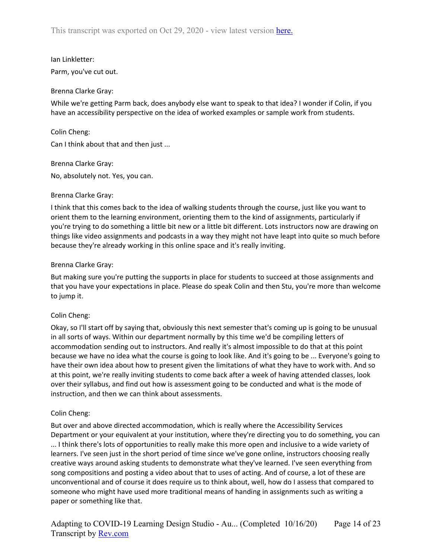# Ian Linkletter:

Parm, you've cut out.

## Brenna Clarke Gray:

While we're getting Parm back, does anybody else want to speak to that idea? I wonder if Colin, if you have an accessibility perspective on the idea of worked examples or sample work from students.

## Colin Cheng:

Can I think about that and then just ...

## Brenna Clarke Gray:

No, absolutely not. Yes, you can.

## Brenna Clarke Gray:

I think that this comes back to the idea of walking students through the course, just like you want to orient them to the learning environment, orienting them to the kind of assignments, particularly if you're trying to do something a little bit new or a little bit different. Lots instructors now are drawing on things like video assignments and podcasts in a way they might not have leapt into quite so much before because they're already working in this online space and it's really inviting.

## Brenna Clarke Gray:

But making sure you're putting the supports in place for students to succeed at those assignments and that you have your expectations in place. Please do speak Colin and then Stu, you're more than welcome to jump it.

## Colin Cheng:

Okay, so I'll start off by saying that, obviously this next semester that's coming up is going to be unusual in all sorts of ways. Within our department normally by this time we'd be compiling letters of accommodation sending out to instructors. And really it's almost impossible to do that at this point because we have no idea what the course is going to look like. And it's going to be ... Everyone's going to have their own idea about how to present given the limitations of what they have to work with. And so at this point, we're really inviting students to come back after a week of having attended classes, look over their syllabus, and find out how is assessment going to be conducted and what is the mode of instruction, and then we can think about assessments.

## Colin Cheng:

But over and above directed accommodation, which is really where the Accessibility Services Department or your equivalent at your institution, where they're directing you to do something, you can ... I think there's lots of opportunities to really make this more open and inclusive to a wide variety of learners. I've seen just in the short period of time since we've gone online, instructors choosing really creative ways around asking students to demonstrate what they've learned. I've seen everything from song compositions and posting a video about that to uses of acting. And of course, a lot of these are unconventional and of course it does require us to think about, well, how do I assess that compared to someone who might have used more traditional means of handing in assignments such as writing a paper or something like that.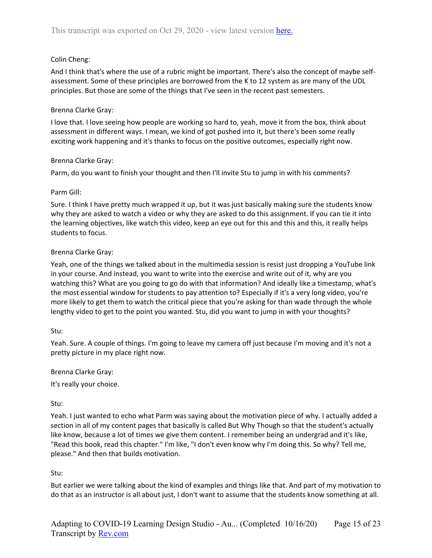## Colin Cheng:

And I think that's where the use of a rubric might be important. There's also the concept of maybe selfassessment. Some of these principles are borrowed from the K to 12 system as are many of the UDL principles. But those are some of the things that I've seen in the recent past semesters.

## Brenna Clarke Gray:

I love that. I love seeing how people are working so hard to, yeah, move it from the box, think about assessment in different ways. I mean, we kind of got pushed into it, but there's been some really exciting work happening and it's thanks to focus on the positive outcomes, especially right now.

## Brenna Clarke Gray:

Parm, do you want to finish your thought and then I'll invite Stu to jump in with his comments?

## Parm Gill:

Sure. I think I have pretty much wrapped it up, but it was just basically making sure the students know why they are asked to watch a video or why they are asked to do this assignment. If you can tie it into the learning objectives, like watch this video, keep an eye out for this and this and this, it really helps students to focus.

## Brenna Clarke Gray:

Yeah, one of the things we talked about in the multimedia session is resist just dropping a YouTube link in your course. And instead, you want to write into the exercise and write out of it, why are you watching this? What are you going to go do with that information? And ideally like a timestamp, what's the most essential window for students to pay attention to? Especially if it's a very long video, you're more likely to get them to watch the critical piece that you're asking for than wade through the whole lengthy video to get to the point you wanted. Stu, did you want to jump in with your thoughts?

## Stu:

Yeah. Sure. A couple of things. I'm going to leave my camera off just because I'm moving and it's not a pretty picture in my place right now.

Brenna Clarke Gray:

It's really your choice.

## Stu:

Yeah. I just wanted to echo what Parm was saying about the motivation piece of why. I actually added a section in all of my content pages that basically is called But Why Though so that the student's actually like know, because a lot of times we give them content. I remember being an undergrad and it's like, "Read this book, read this chapter." I'm like, "I don't even know why I'm doing this. So why? Tell me, please." And then that builds motivation.

## Stu:

But earlier we were talking about the kind of examples and things like that. And part of my motivation to do that as an instructor is all about just, I don't want to assume that the students know something at all.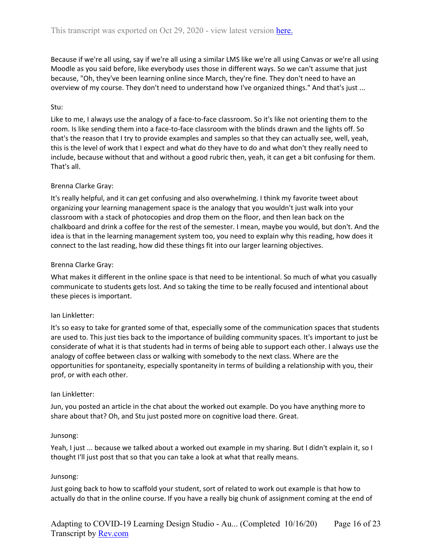Because if we're all using, say if we're all using a similar LMS like we're all using Canvas or we're all using Moodle as you said before, like everybody uses those in different ways. So we can't assume that just because, "Oh, they've been learning online since March, they're fine. They don't need to have an overview of my course. They don't need to understand how I've organized things." And that's just ...

## Stu:

Like to me, I always use the analogy of a face-to-face classroom. So it's like not orienting them to the room. Is like sending them into a face-to-face classroom with the blinds drawn and the lights off. So that's the reason that I try to provide examples and samples so that they can actually see, well, yeah, this is the level of work that I expect and what do they have to do and what don't they really need to include, because without that and without a good rubric then, yeah, it can get a bit confusing for them. That's all.

## Brenna Clarke Gray:

It's really helpful, and it can get confusing and also overwhelming. I think my favorite tweet about organizing your learning management space is the analogy that you wouldn't just walk into your classroom with a stack of photocopies and drop them on the floor, and then lean back on the chalkboard and drink a coffee for the rest of the semester. I mean, maybe you would, but don't. And the idea is that in the learning management system too, you need to explain why this reading, how does it connect to the last reading, how did these things fit into our larger learning objectives.

## Brenna Clarke Gray:

What makes it different in the online space is that need to be intentional. So much of what you casually communicate to students gets lost. And so taking the time to be really focused and intentional about these pieces is important.

## Ian Linkletter:

It's so easy to take for granted some of that, especially some of the communication spaces that students are used to. This just ties back to the importance of building community spaces. It's important to just be considerate of what it is that students had in terms of being able to support each other. I always use the analogy of coffee between class or walking with somebody to the next class. Where are the opportunities for spontaneity, especially spontaneity in terms of building a relationship with you, their prof, or with each other.

## Ian Linkletter:

Jun, you posted an article in the chat about the worked out example. Do you have anything more to share about that? Oh, and Stu just posted more on cognitive load there. Great.

## Junsong:

Yeah, I just ... because we talked about a worked out example in my sharing. But I didn't explain it, so I thought I'll just post that so that you can take a look at what that really means.

## Junsong:

Just going back to how to scaffold your student, sort of related to work out example is that how to actually do that in the online course. If you have a really big chunk of assignment coming at the end of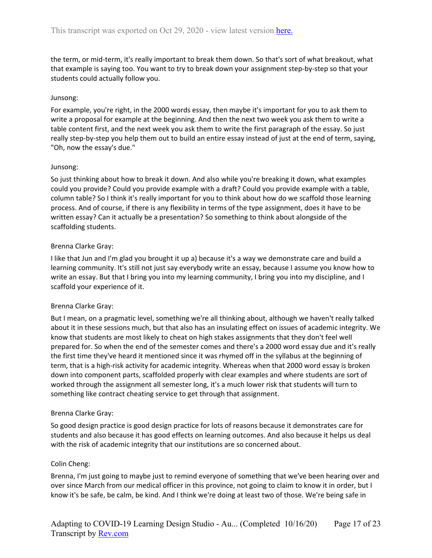the term, or mid-term, it's really important to break them down. So that's sort of what breakout, what that example is saying too. You want to try to break down your assignment step-by-step so that your students could actually follow you.

### Junsong:

For example, you're right, in the 2000 words essay, then maybe it's important for you to ask them to write a proposal for example at the beginning. And then the next two week you ask them to write a table content first, and the next week you ask them to write the first paragraph of the essay. So just really step-by-step you help them out to build an entire essay instead of just at the end of term, saying, "Oh, now the essay's due."

### Junsong:

So just thinking about how to break it down. And also while you're breaking it down, what examples could you provide? Could you provide example with a draft? Could you provide example with a table, column table? So I think it's really important for you to think about how do we scaffold those learning process. And of course, if there is any flexibility in terms of the type assignment, does it have to be written essay? Can it actually be a presentation? So something to think about alongside of the scaffolding students.

## Brenna Clarke Gray:

I like that Jun and I'm glad you brought it up a) because it's a way we demonstrate care and build a learning community. It's still not just say everybody write an essay, because I assume you know how to write an essay. But that I bring you into my learning community, I bring you into my discipline, and I scaffold your experience of it.

## Brenna Clarke Gray:

But I mean, on a pragmatic level, something we're all thinking about, although we haven't really talked about it in these sessions much, but that also has an insulating effect on issues of academic integrity. We know that students are most likely to cheat on high stakes assignments that they don't feel well prepared for. So when the end of the semester comes and there's a 2000 word essay due and it's really the first time they've heard it mentioned since it was rhymed off in the syllabus at the beginning of term, that is a high-risk activity for academic integrity. Whereas when that 2000 word essay is broken down into component parts, scaffolded properly with clear examples and where students are sort of worked through the assignment all semester long, it's a much lower risk that students will turn to something like contract cheating service to get through that assignment.

#### Brenna Clarke Gray:

So good design practice is good design practice for lots of reasons because it demonstrates care for students and also because it has good effects on learning outcomes. And also because it helps us deal with the risk of academic integrity that our institutions are so concerned about.

#### Colin Cheng:

Brenna, I'm just going to maybe just to remind everyone of something that we've been hearing over and over since March from our medical officer in this province, not going to claim to know it in order, but I know it's be safe, be calm, be kind. And I think we're doing at least two of those. We're being safe in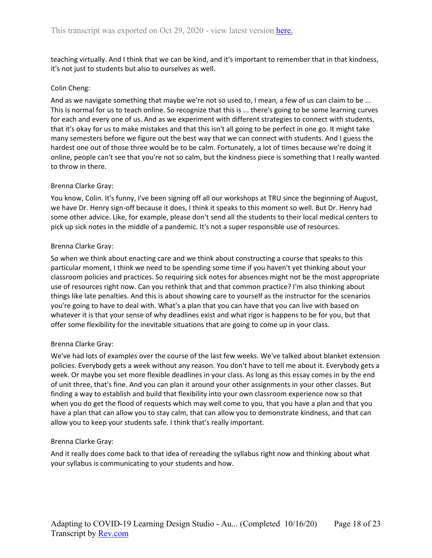teaching virtually. And I think that we can be kind, and it's important to remember that in that kindness, it's not just to students but also to ourselves as well.

## Colin Cheng:

And as we navigate something that maybe we're not so used to, I mean, a few of us can claim to be ... This is normal for us to teach online. So recognize that this is ... there's going to be some learning curves for each and every one of us. And as we experiment with different strategies to connect with students, that it's okay for us to make mistakes and that this isn't all going to be perfect in one go. It might take many semesters before we figure out the best way that we can connect with students. And I guess the hardest one out of those three would be to be calm. Fortunately, a lot of times because we're doing it online, people can't see that you're not so calm, but the kindness piece is something that I really wanted to throw in there.

## Brenna Clarke Gray:

You know, Colin. It's funny, I've been signing off all our workshops at TRU since the beginning of August, we have Dr. Henry sign-off because it does, I think it speaks to this moment so well. But Dr. Henry had some other advice. Like, for example, please don't send all the students to their local medical centers to pick up sick notes in the middle of a pandemic. It's not a super responsible use of resources.

## Brenna Clarke Gray:

So when we think about enacting care and we think about constructing a course that speaks to this particular moment, I think we need to be spending some time if you haven't yet thinking about your classroom policies and practices. So requiring sick notes for absences might not be the most appropriate use of resources right now. Can you rethink that and that common practice? I'm also thinking about things like late penalties. And this is about showing care to yourself as the instructor for the scenarios you're going to have to deal with. What's a plan that you can have that you can live with based on whatever it is that your sense of why deadlines exist and what rigor is happens to be for you, but that offer some flexibility for the inevitable situations that are going to come up in your class.

## Brenna Clarke Gray:

We've had lots of examples over the course of the last few weeks. We've talked about blanket extension policies. Everybody gets a week without any reason. You don't have to tell me about it. Everybody gets a week. Or maybe you set more flexible deadlines in your class. As long as this essay comes in by the end of unit three, that's fine. And you can plan it around your other assignments in your other classes. But finding a way to establish and build that flexibility into your own classroom experience now so that when you do get the flood of requests which may well come to you, that you have a plan and that you have a plan that can allow you to stay calm, that can allow you to demonstrate kindness, and that can allow you to keep your students safe. I think that's really important.

## Brenna Clarke Gray:

And it really does come back to that idea of rereading the syllabus right now and thinking about what your syllabus is communicating to your students and how.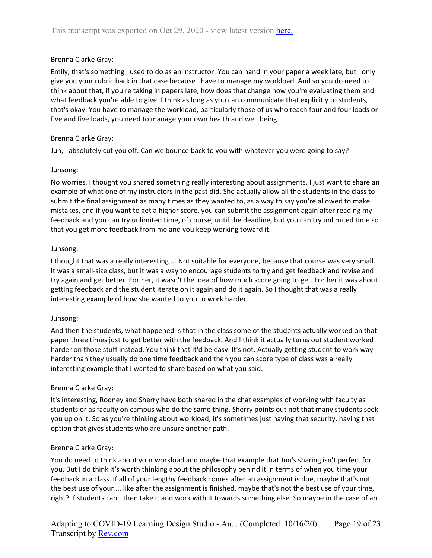## Brenna Clarke Gray:

Emily, that's something I used to do as an instructor. You can hand in your paper a week late, but I only give you your rubric back in that case because I have to manage my workload. And so you do need to think about that, if you're taking in papers late, how does that change how you're evaluating them and what feedback you're able to give. I think as long as you can communicate that explicitly to students, that's okay. You have to manage the workload, particularly those of us who teach four and four loads or five and five loads, you need to manage your own health and well being.

## Brenna Clarke Gray:

Jun, I absolutely cut you off. Can we bounce back to you with whatever you were going to say?

## Junsong:

No worries. I thought you shared something really interesting about assignments. I just want to share an example of what one of my instructors in the past did. She actually allow all the students in the class to submit the final assignment as many times as they wanted to, as a way to say you're allowed to make mistakes, and if you want to get a higher score, you can submit the assignment again after reading my feedback and you can try unlimited time, of course, until the deadline, but you can try unlimited time so that you get more feedback from me and you keep working toward it.

## Junsong:

I thought that was a really interesting ... Not suitable for everyone, because that course was very small. It was a small-size class, but it was a way to encourage students to try and get feedback and revise and try again and get better. For her, it wasn't the idea of how much score going to get. For her it was about getting feedback and the student iterate on it again and do it again. So I thought that was a really interesting example of how she wanted to you to work harder.

## Junsong:

And then the students, what happened is that in the class some of the students actually worked on that paper three times just to get better with the feedback. And I think it actually turns out student worked harder on those stuff instead. You think that it'd be easy. It's not. Actually getting student to work way harder than they usually do one time feedback and then you can score type of class was a really interesting example that I wanted to share based on what you said.

## Brenna Clarke Gray:

It's interesting, Rodney and Sherry have both shared in the chat examples of working with faculty as students or as faculty on campus who do the same thing. Sherry points out not that many students seek you up on it. So as you're thinking about workload, it's sometimes just having that security, having that option that gives students who are unsure another path.

## Brenna Clarke Gray:

You do need to think about your workload and maybe that example that Jun's sharing isn't perfect for you. But I do think it's worth thinking about the philosophy behind it in terms of when you time your feedback in a class. If all of your lengthy feedback comes after an assignment is due, maybe that's not the best use of your ... like after the assignment is finished, maybe that's not the best use of your time, right? If students can't then take it and work with it towards something else. So maybe in the case of an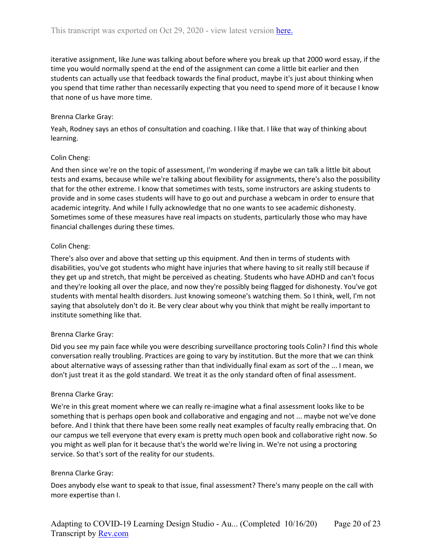iterative assignment, like June was talking about before where you break up that 2000 word essay, if the time you would normally spend at the end of the assignment can come a little bit earlier and then students can actually use that feedback towards the final product, maybe it's just about thinking when you spend that time rather than necessarily expecting that you need to spend more of it because I know that none of us have more time.

## Brenna Clarke Gray:

Yeah, Rodney says an ethos of consultation and coaching. I like that. I like that way of thinking about learning.

## Colin Cheng:

And then since we're on the topic of assessment, I'm wondering if maybe we can talk a little bit about tests and exams, because while we're talking about flexibility for assignments, there's also the possibility that for the other extreme. I know that sometimes with tests, some instructors are asking students to provide and in some cases students will have to go out and purchase a webcam in order to ensure that academic integrity. And while I fully acknowledge that no one wants to see academic dishonesty. Sometimes some of these measures have real impacts on students, particularly those who may have financial challenges during these times.

## Colin Cheng:

There's also over and above that setting up this equipment. And then in terms of students with disabilities, you've got students who might have injuries that where having to sit really still because if they get up and stretch, that might be perceived as cheating. Students who have ADHD and can't focus and they're looking all over the place, and now they're possibly being flagged for dishonesty. You've got students with mental health disorders. Just knowing someone's watching them. So I think, well, I'm not saying that absolutely don't do it. Be very clear about why you think that might be really important to institute something like that.

## Brenna Clarke Gray:

Did you see my pain face while you were describing surveillance proctoring tools Colin? I find this whole conversation really troubling. Practices are going to vary by institution. But the more that we can think about alternative ways of assessing rather than that individually final exam as sort of the ... I mean, we don't just treat it as the gold standard. We treat it as the only standard often of final assessment.

## Brenna Clarke Gray:

We're in this great moment where we can really re-imagine what a final assessment looks like to be something that is perhaps open book and collaborative and engaging and not ... maybe not we've done before. And I think that there have been some really neat examples of faculty really embracing that. On our campus we tell everyone that every exam is pretty much open book and collaborative right now. So you might as well plan for it because that's the world we're living in. We're not using a proctoring service. So that's sort of the reality for our students.

## Brenna Clarke Gray:

Does anybody else want to speak to that issue, final assessment? There's many people on the call with more expertise than I.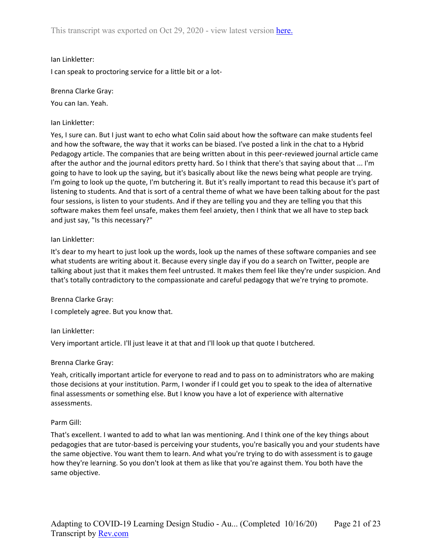## Ian Linkletter:

I can speak to proctoring service for a little bit or a lot-

## Brenna Clarke Gray:

You can Ian. Yeah.

## Ian Linkletter:

Yes, I sure can. But I just want to echo what Colin said about how the software can make students feel and how the software, the way that it works can be biased. I've posted a link in the chat to a Hybrid Pedagogy article. The companies that are being written about in this peer-reviewed journal article came after the author and the journal editors pretty hard. So I think that there's that saying about that ... I'm going to have to look up the saying, but it's basically about like the news being what people are trying. I'm going to look up the quote, I'm butchering it. But it's really important to read this because it's part of listening to students. And that is sort of a central theme of what we have been talking about for the past four sessions, is listen to your students. And if they are telling you and they are telling you that this software makes them feel unsafe, makes them feel anxiety, then I think that we all have to step back and just say, "Is this necessary?"

## Ian Linkletter:

It's dear to my heart to just look up the words, look up the names of these software companies and see what students are writing about it. Because every single day if you do a search on Twitter, people are talking about just that it makes them feel untrusted. It makes them feel like they're under suspicion. And that's totally contradictory to the compassionate and careful pedagogy that we're trying to promote.

## Brenna Clarke Gray:

I completely agree. But you know that.

## Ian Linkletter:

Very important article. I'll just leave it at that and I'll look up that quote I butchered.

## Brenna Clarke Gray:

Yeah, critically important article for everyone to read and to pass on to administrators who are making those decisions at your institution. Parm, I wonder if I could get you to speak to the idea of alternative final assessments or something else. But I know you have a lot of experience with alternative assessments.

## Parm Gill:

That's excellent. I wanted to add to what Ian was mentioning. And I think one of the key things about pedagogies that are tutor-based is perceiving your students, you're basically you and your students have the same objective. You want them to learn. And what you're trying to do with assessment is to gauge how they're learning. So you don't look at them as like that you're against them. You both have the same objective.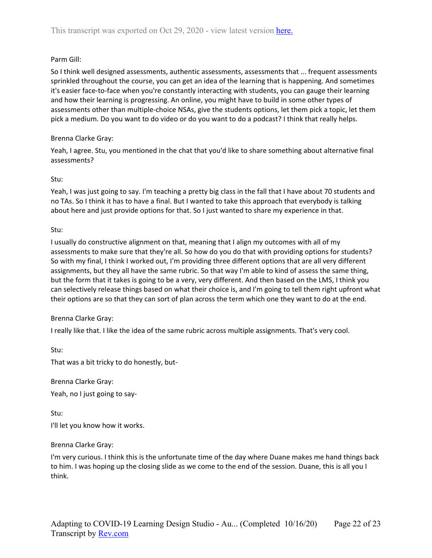## Parm Gill:

So I think well designed assessments, authentic assessments, assessments that ... frequent assessments sprinkled throughout the course, you can get an idea of the learning that is happening. And sometimes it's easier face-to-face when you're constantly interacting with students, you can gauge their learning and how their learning is progressing. An online, you might have to build in some other types of assessments other than multiple-choice NSAs, give the students options, let them pick a topic, let them pick a medium. Do you want to do video or do you want to do a podcast? I think that really helps.

## Brenna Clarke Gray:

Yeah, I agree. Stu, you mentioned in the chat that you'd like to share something about alternative final assessments?

## Stu:

Yeah, I was just going to say. I'm teaching a pretty big class in the fall that I have about 70 students and no TAs. So I think it has to have a final. But I wanted to take this approach that everybody is talking about here and just provide options for that. So I just wanted to share my experience in that.

## Stu:

I usually do constructive alignment on that, meaning that I align my outcomes with all of my assessments to make sure that they're all. So how do you do that with providing options for students? So with my final, I think I worked out, I'm providing three different options that are all very different assignments, but they all have the same rubric. So that way I'm able to kind of assess the same thing, but the form that it takes is going to be a very, very different. And then based on the LMS, I think you can selectively release things based on what their choice is, and I'm going to tell them right upfront what their options are so that they can sort of plan across the term which one they want to do at the end.

## Brenna Clarke Gray:

I really like that. I like the idea of the same rubric across multiple assignments. That's very cool.

Stu:

That was a bit tricky to do honestly, but-

Brenna Clarke Gray: Yeah, no I just going to say-

Stu: I'll let you know how it works.

## Brenna Clarke Gray:

I'm very curious. I think this is the unfortunate time of the day where Duane makes me hand things back to him. I was hoping up the closing slide as we come to the end of the session. Duane, this is all you I think.